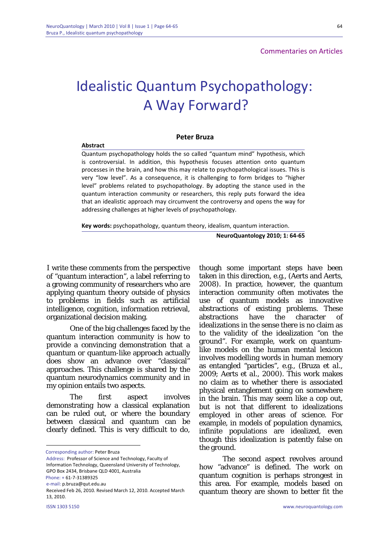Commentaries on Articlesx

64

## Idealistic Quantum Psychopathology: A Way Forward?

## **Peter Bruza**

## **Abstract**

Quantum psychopathology holds the so called "quantum mind" hypothesis, which is controversial. In addition, this hypothesis focuses attention onto quantum processes in the brain, and how this may relate to psychopathological issues. This is very "low level". As a consequence, it is challenging to form bridges to "higher level" problems related to psychopathology. By adopting the stance used in the quantum interaction community or researchers, this reply puts forward the idea that an idealistic approach may circumvent the controversy and opens the way for addressing challenges at higher levels of psychopathology.

**Key words:** psychopathology, quantum theory, idealism, quantum interaction.

**NeuroQuantology 2010; 1: 64‐65**

 I write these comments from the perspective of "quantum interaction", a label referring to a growing community of researchers who are applying quantum theory outside of physics to problems in fields such as artificial intelligence, cognition, information retrieval, organizational decision making.

One of the big challenges faced by the quantum interaction community is how to provide a convincing demonstration that a quantum or quantum-like approach actually does show an advance over "classical" approaches. This challenge is shared by the quantum neurodynamics community and in my opinion entails two aspects.

The first aspect involves demonstrating how a classical explanation can be ruled out, or where the boundary between classical and quantum can be clearly defined. This is very difficult to do,

Corresponding author: Peter Bruza

Address: Professor of Science and Technology, Faculty of Information Technology, Queensland University of Technology, GPO Box 2434, Brisbane QLD 4001, Australia Phone: + 61‐7‐31389325 e‐mail: p.bruza@qut.edu.au

<u>.</u>

though some important steps have been taken in this direction, e.g., (Aerts and Aerts, 2008). In practice, however, the quantum interaction community often motivates the use of quantum models as innovative abstractions of existing problems. These abstractions have the character of idealizations in the sense there is no claim as to the validity of the idealization "on the ground". For example, work on quantumlike models on the human mental lexicon involves modelling words in human memory as entangled "particles", e.g., (Bruza *et al.,* 2009; Aerts *et al.,* 2000). This work makes no claim as to whether there is associated physical entanglement going on somewhere in the brain. This may seem like a cop out, but is not that different to idealizations employed in other areas of science. For example, in models of population dynamics, infinite populations are idealized, even though this idealization is patently false on the ground.

The second aspect revolves around how "advance" is defined. The work on quantum cognition is perhaps strongest in this area. For example, models based on quantum theory are shown to better fit the

Received Feb 26, 2010. Revised March 12, 2010. Accepted March 13, 2010.